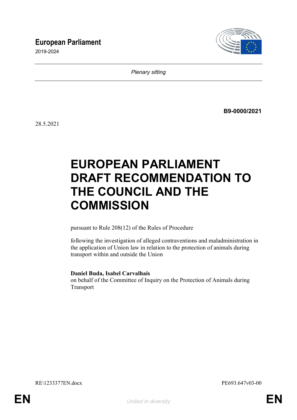## **European Parliament**

2019-2024



*Plenary sitting*

**B9-0000/2021**

28.5.2021

# **EUROPEAN PARLIAMENT DRAFT RECOMMENDATION TO THE COUNCIL AND THE COMMISSION**

pursuant to Rule 208(12) of the Rules of Procedure

following the investigation of alleged contraventions and maladministration in the application of Union law in relation to the protection of animals during transport within and outside the Union

#### **Daniel Buda, Isabel Carvalhais**

on behalf of the Committee of Inquiry on the Protection of Animals during Transport

RE\1233377EN.docx PE693.647v03-00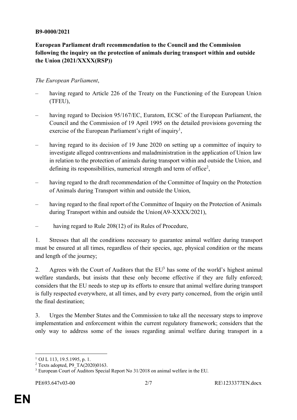#### **B9-0000/2021**

### **European Parliament draft recommendation to the Council and the Commission following the inquiry on the protection of animals during transport within and outside the Union (2021/XXXX(RSP))**

#### *The European Parliament*,

- having regard to Article 226 of the Treaty on the Functioning of the European Union (TFEU),
- having regard to Decision 95/167/EC, Euratom, ECSC of the European Parliament, the Council and the Commission of 19 April 1995 on the detailed provisions governing the exercise of the European Parliament's right of inquiry<sup>1</sup>,
- having regard to its decision of 19 June 2020 on setting up a committee of inquiry to investigate alleged contraventions and maladministration in the application of Union law in relation to the protection of animals during transport within and outside the Union, and defining its responsibilities, numerical strength and term of office<sup>2</sup>,
- having regard to the draft recommendation of the Committee of Inquiry on the Protection of Animals during Transport within and outside the Union,
- having regard to the final report of the Committee of Inquiry on the Protection of Animals during Transport within and outside the Union(A9-XXXX/2021),
- having regard to Rule 208(12) of its Rules of Procedure,

1. Stresses that all the conditions necessary to guarantee animal welfare during transport must be ensured at all times, regardless of their species, age, physical condition or the means and length of the journey;

2. Agrees with the Court of Auditors that the  $EU<sup>3</sup>$  has some of the world's highest animal welfare standards, but insists that these only become effective if they are fully enforced; considers that the EU needs to step up its efforts to ensure that animal welfare during transport is fully respected everywhere, at all times, and by every party concerned, from the origin until the final destination;

3. Urges the Member States and the Commission to take all the necessary steps to improve implementation and enforcement within the current regulatory framework; considers that the only way to address some of the issues regarding animal welfare during transport in a

 $\overline{a}$ 

 $1$  OJ L 113, 19.5.1995, p. 1.

 $2$  Texts adopted, P9\_TA(2020)0163.

<sup>&</sup>lt;sup>3</sup> European Court of Auditors Special Report No 31/2018 on animal welfare in the EU.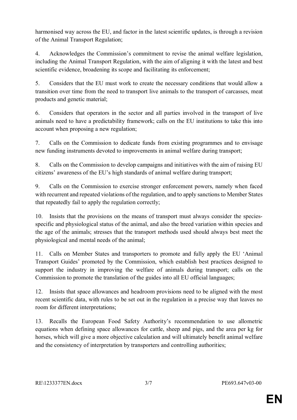harmonised way across the EU, and factor in the latest scientific updates, is through a revision of the Animal Transport Regulation;

4. Acknowledges the Commission's commitment to revise the animal welfare legislation, including the Animal Transport Regulation, with the aim of aligning it with the latest and best scientific evidence, broadening its scope and facilitating its enforcement;

5. Considers that the EU must work to create the necessary conditions that would allow a transition over time from the need to transport live animals to the transport of carcasses, meat products and genetic material;

6. Considers that operators in the sector and all parties involved in the transport of live animals need to have a predictability framework; calls on the EU institutions to take this into account when proposing a new regulation;

7. Calls on the Commission to dedicate funds from existing programmes and to envisage new funding instruments devoted to improvements in animal welfare during transport;

8. Calls on the Commission to develop campaigns and initiatives with the aim of raising EU citizens' awareness of the EU's high standards of animal welfare during transport;

9. Calls on the Commission to exercise stronger enforcement powers, namely when faced with recurrent and repeated violations of the regulation, and to apply sanctions to Member States that repeatedly fail to apply the regulation correctly;

10. Insists that the provisions on the means of transport must always consider the speciesspecific and physiological status of the animal, and also the breed variation within species and the age of the animals; stresses that the transport methods used should always best meet the physiological and mental needs of the animal;

11. Calls on Member States and transporters to promote and fully apply the EU 'Animal Transport Guides' promoted by the Commission, which establish best practices designed to support the industry in improving the welfare of animals during transport; calls on the Commission to promote the translation of the guides into all EU official languages;

12. Insists that space allowances and headroom provisions need to be aligned with the most recent scientific data, with rules to be set out in the regulation in a precise way that leaves no room for different interpretations;

13. Recalls the European Food Safety Authority's recommendation to use allometric equations when defining space allowances for cattle, sheep and pigs, and the area per kg for horses, which will give a more objective calculation and will ultimately benefit animal welfare and the consistency of interpretation by transporters and controlling authorities;

**EN**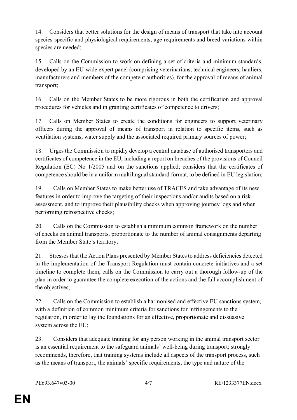14. Considers that better solutions for the design of means of transport that take into account species-specific and physiological requirements, age requirements and breed variations within species are needed;

15. Calls on the Commission to work on defining a set of criteria and minimum standards, developed by an EU-wide expert panel (comprising veterinarians, technical engineers, hauliers, manufacturers and members of the competent authorities), for the approval of means of animal transport;

16. Calls on the Member States to be more rigorous in both the certification and approval procedures for vehicles and in granting certificates of competence to drivers;

17. Calls on Member States to create the conditions for engineers to support veterinary officers during the approval of means of transport in relation to specific items, such as ventilation systems, water supply and the associated required primary sources of power;

18. Urges the Commission to rapidly develop a central database of authorised transporters and certificates of competence in the EU, including a report on breaches of the provisions of Council Regulation (EC) No 1/2005 and on the sanctions applied; considers that the certificates of competence should be in a uniform multilingual standard format, to be defined in EU legislation;

19. Calls on Member States to make better use of TRACES and take advantage of its new features in order to improve the targeting of their inspections and/or audits based on a risk assessment, and to improve their plausibility checks when approving journey logs and when performing retrospective checks;

20. Calls on the Commission to establish a minimum common framework on the number of checks on animal transports, proportionate to the number of animal consignments departing from the Member State's territory;

21. Stresses that the Action Plans presented by Member States to address deficiencies detected in the implementation of the Transport Regulation must contain concrete initiatives and a set timeline to complete them; calls on the Commission to carry out a thorough follow-up of the plan in order to guarantee the complete execution of the actions and the full accomplishment of the objectives;

22. Calls on the Commission to establish a harmonised and effective EU sanctions system, with a definition of common minimum criteria for sanctions for infringements to the regulation, in order to lay the foundations for an effective, proportionate and dissuasive system across the EU;

23. Considers that adequate training for any person working in the animal transport sector is an essential requirement to the safeguard animals' well-being during transport; strongly recommends, therefore, that training systems include all aspects of the transport process, such as the means of transport, the animals' specific requirements, the type and nature of the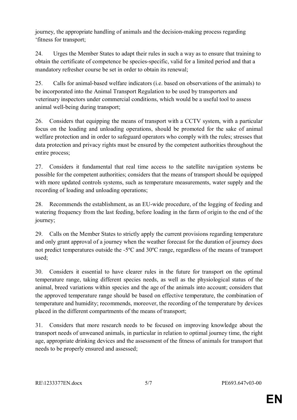journey, the appropriate handling of animals and the decision-making process regarding 'fitness for transport;

24. Urges the Member States to adapt their rules in such a way as to ensure that training to obtain the certificate of competence be species-specific, valid for a limited period and that a mandatory refresher course be set in order to obtain its renewal;

25. Calls for animal-based welfare indicators (i.e. based on observations of the animals) to be incorporated into the Animal Transport Regulation to be used by transporters and veterinary inspectors under commercial conditions, which would be a useful tool to assess animal well-being during transport;

26. Considers that equipping the means of transport with a CCTV system, with a particular focus on the loading and unloading operations, should be promoted for the sake of animal welfare protection and in order to safeguard operators who comply with the rules; stresses that data protection and privacy rights must be ensured by the competent authorities throughout the entire process;

27. Considers it fundamental that real time access to the satellite navigation systems be possible for the competent authorities; considers that the means of transport should be equipped with more updated controls systems, such as temperature measurements, water supply and the recording of loading and unloading operations;

28. Recommends the establishment, as an EU-wide procedure, of the logging of feeding and watering frequency from the last feeding, before loading in the farm of origin to the end of the journey;

29. Calls on the Member States to strictly apply the current provisions regarding temperature and only grant approval of a journey when the weather forecast for the duration of journey does not predict temperatures outside the -5ºC and 30ºC range, regardless of the means of transport used;

30. Considers it essential to have clearer rules in the future for transport on the optimal temperature range, taking different species needs, as well as the physiological status of the animal, breed variations within species and the age of the animals into account; considers that the approved temperature range should be based on effective temperature, the combination of temperature and humidity; recommends, moreover, the recording of the temperature by devices placed in the different compartments of the means of transport;

31. Considers that more research needs to be focused on improving knowledge about the transport needs of unweaned animals, in particular in relation to optimal journey time, the right age, appropriate drinking devices and the assessment of the fitness of animals for transport that needs to be properly ensured and assessed;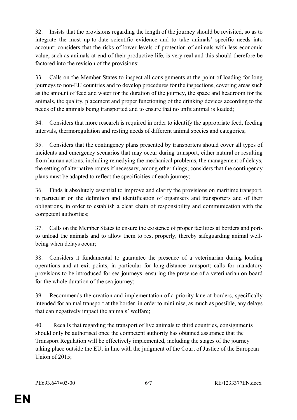32. Insists that the provisions regarding the length of the journey should be revisited, so as to integrate the most up-to-date scientific evidence and to take animals' specific needs into account; considers that the risks of lower levels of protection of animals with less economic value, such as animals at end of their productive life, is very real and this should therefore be factored into the revision of the provisions;

33. Calls on the Member States to inspect all consignments at the point of loading for long journeys to non-EU countries and to develop procedures for the inspections, covering areas such as the amount of feed and water for the duration of the journey, the space and headroom for the animals, the quality, placement and proper functioning of the drinking devices according to the needs of the animals being transported and to ensure that no unfit animal is loaded;

34. Considers that more research is required in order to identify the appropriate feed, feeding intervals, thermoregulation and resting needs of different animal species and categories;

35. Considers that the contingency plans presented by transporters should cover all types of incidents and emergency scenarios that may occur during transport, either natural or resulting from human actions, including remedying the mechanical problems, the management of delays, the setting of alternative routes if necessary, among other things; considers that the contingency plans must be adapted to reflect the specificities of each journey;

36. Finds it absolutely essential to improve and clarify the provisions on maritime transport, in particular on the definition and identification of organisers and transporters and of their obligations, in order to establish a clear chain of responsibility and communication with the competent authorities;

37. Calls on the Member States to ensure the existence of proper facilities at borders and ports to unload the animals and to allow them to rest properly, thereby safeguarding animal wellbeing when delays occur;

38. Considers it fundamental to guarantee the presence of a veterinarian during loading operations and at exit points, in particular for long-distance transport; calls for mandatory provisions to be introduced for sea journeys, ensuring the presence of a veterinarian on board for the whole duration of the sea journey;

39. Recommends the creation and implementation of a priority lane at borders, specifically intended for animal transport at the border, in order to minimise, as much as possible, any delays that can negatively impact the animals' welfare;

40. Recalls that regarding the transport of live animals to third countries, consignments should only be authorised once the competent authority has obtained assurance that the Transport Regulation will be effectively implemented, including the stages of the journey taking place outside the EU, in line with the judgment of the Court of Justice of the European Union of 2015;

**EN**